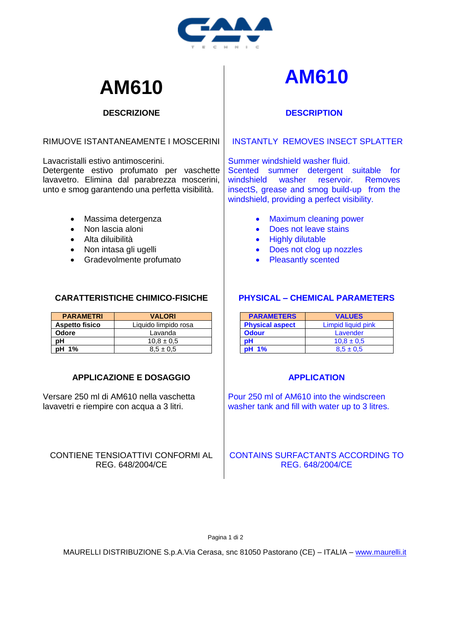

#### **DESCRIZIONE**

#### RIMUOVE ISTANTANEAMENTE I MOSCERINI

Lavacristalli estivo antimoscerini.

Detergente estivo profumato per vaschette lavavetro. Elimina dal parabrezza moscerini, unto e smog garantendo una perfetta visibilità.

- Massima detergenza
- Non lascia aloni
- Alta diluibilità
- Non intasa gli ugelli
- Gradevolmente profumato

#### **CARATTERISTICHE CHIMICO-FISICHE**

| <b>PARAMETRI</b>      | <b>VALORI</b>        |
|-----------------------|----------------------|
| <b>Aspetto fisico</b> | Liquido limpido rosa |
| Odore                 | Lavanda              |
| эΗ                    | $10.8 \pm 0.5$       |
| pH 1%                 | $8.5 \pm 0.5$        |

### **APPLICAZIONE E DOSAGGIO**

Versare 250 ml di AM610 nella vaschetta lavavetri e riempire con acqua a 3 litri.

CONTIENE TENSIOATTIVI CONFORMI AL REG. 648/2004/CE

# **AM610 AM610**

#### **DESCRIPTION**

#### INSTANTLY REMOVES INSECT SPLATTER

Summer windshield washer fluid. Scented summer detergent suitable for windshield washer reservoir. Removes insectS, grease and smog build-up from the windshield, providing a perfect visibility.

- Maximum cleaning power
- Does not leave stains
- Highly dilutable
- Does not clog up nozzles
- Pleasantly scented

## **PHYSICAL – CHEMICAL PARAMETERS**

| <b>PARAMETERS</b>      | <b>VALUES</b>      |
|------------------------|--------------------|
| <b>Physical aspect</b> | Limpid liquid pink |
| <b>Odour</b>           | Lavender           |
| pН                     | $10.8 \pm 0.5$     |
| <b>pH</b> 1%           | $8.5 \pm 0.5$      |

#### **APPLICATION**

Pour 250 ml of AM610 into the windscreen washer tank and fill with water up to 3 litres.

#### CONTAINS SURFACTANTS ACCORDING TO REG. 648/2004/CE

Pagina 1 di 2

MAURELLI DISTRIBUZIONE S.p.A.Via Cerasa, snc 81050 Pastorano (CE) – ITALIA – [www.maurelli.it](http://www.maurelli.it/)